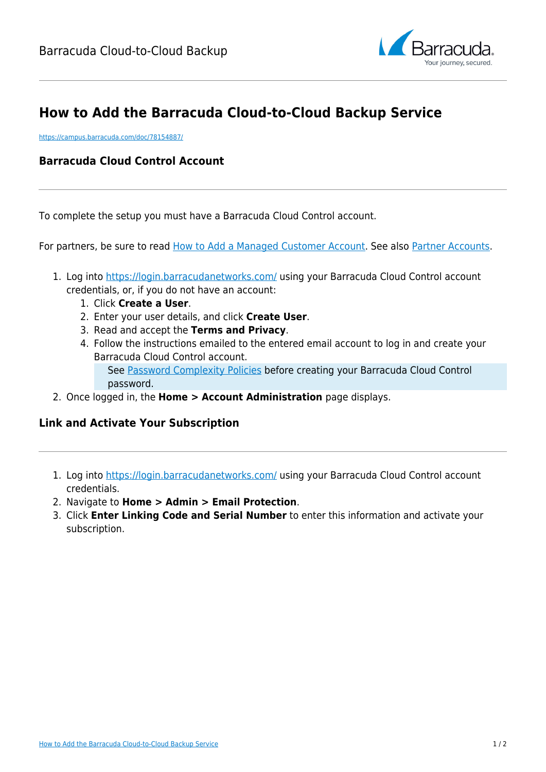

## **How to Add the Barracuda Cloud-to-Cloud Backup Service**

<https://campus.barracuda.com/doc/78154887/>

## **Barracuda Cloud Control Account**

To complete the setup you must have a Barracuda Cloud Control account.

For partners, be sure to read [How to Add a Managed Customer Account](http://campus.barracuda.com/doc/69960190/). See also [Partner Accounts](http://campus.barracuda.com/doc/78156359/).

- 1. Log into <https://login.barracudanetworks.com/>using your Barracuda Cloud Control account credentials, or, if you do not have an account:
	- 1. Click **Create a User**.
	- 2. Enter your user details, and click **Create User**.
	- 3. Read and accept the **Terms and Privacy**.
	- 4. Follow the instructions emailed to the entered email account to log in and create your Barracuda Cloud Control account. See [Password Complexity Policies](http://campus.barracuda.com/doc/75695444/) before creating your Barracuda Cloud Control password.
- 2. Once logged in, the **Home > Account Administration** page displays.

## **Link and Activate Your Subscription**

- 1. Log into <https://login.barracudanetworks.com/>using your Barracuda Cloud Control account credentials.
- 2. Navigate to **Home > Admin > Email Protection**.
- 3. Click **Enter Linking Code and Serial Number** to enter this information and activate your subscription.